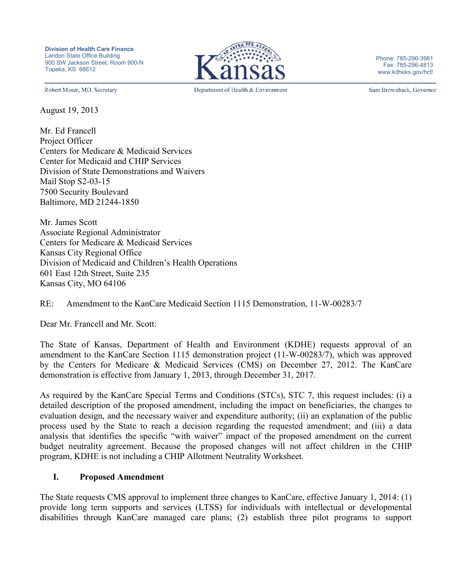

Phone: 785-296-3981 Fax: 785-296-4813 www.kdheks.gov/hcf/

Robert Moser, MD, Secretary

August 19, 2013

Mr. Ed Francell Project Officer Centers for Medicare & Medicaid Services Center for Medicaid and CHIP Services Division of State Demonstrations and Waivers Mail Stop S2-03-15 7500 Security Boulevard Baltimore, MD 21244-1850

Mr. James Scott Associate Regional Administrator Centers for Medicare & Medicaid Services Kansas City Regional Office Division of Medicaid and Children's Health Operations 601 East 12th Street, Suite 235 Kansas City, MO 64106

RE: Amendment to the KanCare Medicaid Section 1115 Demonstration, 11-W-00283/7

Dear Mr. Francell and Mr. Scott:

The State of Kansas, Department of Health and Environment (KDHE) requests approval of an amendment to the KanCare Section 1115 demonstration project (11-W-00283/7), which was approved by the Centers for Medicare & Medicaid Services (CMS) on December 27, 2012. The KanCare demonstration is effective from January 1, 2013, through December 31, 2017.

As required by the KanCare Special Terms and Conditions (STCs), STC 7, this request includes: (i) a detailed description of the proposed amendment, including the impact on beneficiaries, the changes to evaluation design, and the necessary waiver and expenditure authority; (ii) an explanation of the public process used by the State to reach a decision regarding the requested amendment; and (iii) a data analysis that identifies the specific "with waiver" impact of the proposed amendment on the current budget neutrality agreement. Because the proposed changes will not affect children in the CHIP program, KDHE is not including a CHIP Allotment Neutrality Worksheet.

#### **I. Proposed Amendment**

The State requests CMS approval to implement three changes to KanCare, effective January 1, 2014: (1) provide long term supports and services (LTSS) for individuals with intellectual or developmental disabilities through KanCare managed care plans; (2) establish three pilot programs to support

Department of Health & Environment

Sam Brownback, Governor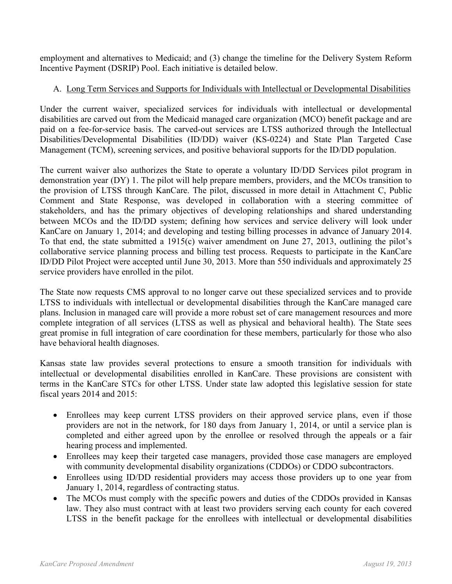employment and alternatives to Medicaid; and (3) change the timeline for the Delivery System Reform Incentive Payment (DSRIP) Pool. Each initiative is detailed below.

# A. Long Term Services and Supports for Individuals with Intellectual or Developmental Disabilities

Under the current waiver, specialized services for individuals with intellectual or developmental disabilities are carved out from the Medicaid managed care organization (MCO) benefit package and are paid on a fee-for-service basis. The carved-out services are LTSS authorized through the Intellectual Disabilities/Developmental Disabilities (ID/DD) waiver (KS-0224) and State Plan Targeted Case Management (TCM), screening services, and positive behavioral supports for the ID/DD population.

The current waiver also authorizes the State to operate a voluntary ID/DD Services pilot program in demonstration year (DY) 1. The pilot will help prepare members, providers, and the MCOs transition to the provision of LTSS through KanCare. The pilot, discussed in more detail in Attachment C, Public Comment and State Response, was developed in collaboration with a steering committee of stakeholders, and has the primary objectives of developing relationships and shared understanding between MCOs and the ID/DD system; defining how services and service delivery will look under KanCare on January 1, 2014; and developing and testing billing processes in advance of January 2014. To that end, the state submitted a 1915(c) waiver amendment on June 27, 2013, outlining the pilot's collaborative service planning process and billing test process. Requests to participate in the KanCare ID/DD Pilot Project were accepted until June 30, 2013. More than 550 individuals and approximately 25 service providers have enrolled in the pilot.

The State now requests CMS approval to no longer carve out these specialized services and to provide LTSS to individuals with intellectual or developmental disabilities through the KanCare managed care plans. Inclusion in managed care will provide a more robust set of care management resources and more complete integration of all services (LTSS as well as physical and behavioral health). The State sees great promise in full integration of care coordination for these members, particularly for those who also have behavioral health diagnoses.

Kansas state law provides several protections to ensure a smooth transition for individuals with intellectual or developmental disabilities enrolled in KanCare. These provisions are consistent with terms in the KanCare STCs for other LTSS. Under state law adopted this legislative session for state fiscal years 2014 and 2015:

- Enrollees may keep current LTSS providers on their approved service plans, even if those providers are not in the network, for 180 days from January 1, 2014, or until a service plan is completed and either agreed upon by the enrollee or resolved through the appeals or a fair hearing process and implemented.
- Enrollees may keep their targeted case managers, provided those case managers are employed with community developmental disability organizations (CDDOs) or CDDO subcontractors.
- Enrollees using ID/DD residential providers may access those providers up to one year from January 1, 2014, regardless of contracting status.
- The MCOs must comply with the specific powers and duties of the CDDOs provided in Kansas law. They also must contract with at least two providers serving each county for each covered LTSS in the benefit package for the enrollees with intellectual or developmental disabilities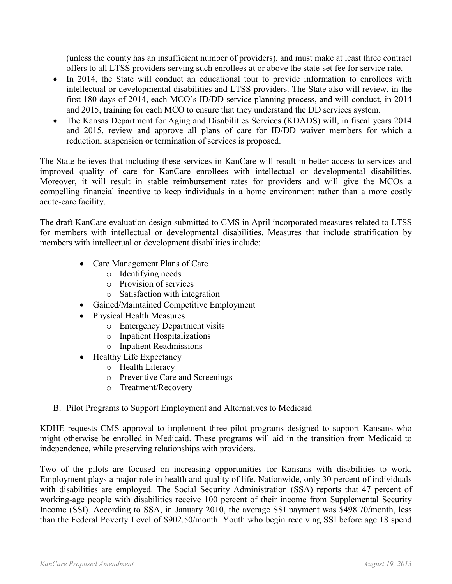(unless the county has an insufficient number of providers), and must make at least three contract offers to all LTSS providers serving such enrollees at or above the state-set fee for service rate.

- In 2014, the State will conduct an educational tour to provide information to enrollees with intellectual or developmental disabilities and LTSS providers. The State also will review, in the first 180 days of 2014, each MCO's ID/DD service planning process, and will conduct, in 2014 and 2015, training for each MCO to ensure that they understand the DD services system.
- The Kansas Department for Aging and Disabilities Services (KDADS) will, in fiscal years 2014 and 2015, review and approve all plans of care for ID/DD waiver members for which a reduction, suspension or termination of services is proposed.

The State believes that including these services in KanCare will result in better access to services and improved quality of care for KanCare enrollees with intellectual or developmental disabilities. Moreover, it will result in stable reimbursement rates for providers and will give the MCOs a compelling financial incentive to keep individuals in a home environment rather than a more costly acute-care facility.

The draft KanCare evaluation design submitted to CMS in April incorporated measures related to LTSS for members with intellectual or developmental disabilities. Measures that include stratification by members with intellectual or development disabilities include:

- Care Management Plans of Care
	- o Identifying needs
	- o Provision of services
	- o Satisfaction with integration
- Gained/Maintained Competitive Employment
- Physical Health Measures
	- o Emergency Department visits
	- o Inpatient Hospitalizations
	- o Inpatient Readmissions
- Healthy Life Expectancy
	- o Health Literacy
	- o Preventive Care and Screenings
	- o Treatment/Recovery

### B. Pilot Programs to Support Employment and Alternatives to Medicaid

KDHE requests CMS approval to implement three pilot programs designed to support Kansans who might otherwise be enrolled in Medicaid. These programs will aid in the transition from Medicaid to independence, while preserving relationships with providers.

Two of the pilots are focused on increasing opportunities for Kansans with disabilities to work. Employment plays a major role in health and quality of life. Nationwide, only 30 percent of individuals with disabilities are employed. The Social Security Administration (SSA) reports that 47 percent of working-age people with disabilities receive 100 percent of their income from Supplemental Security Income (SSI). According to SSA, in January 2010, the average SSI payment was \$498.70/month, less than the Federal Poverty Level of \$902.50/month. Youth who begin receiving SSI before age 18 spend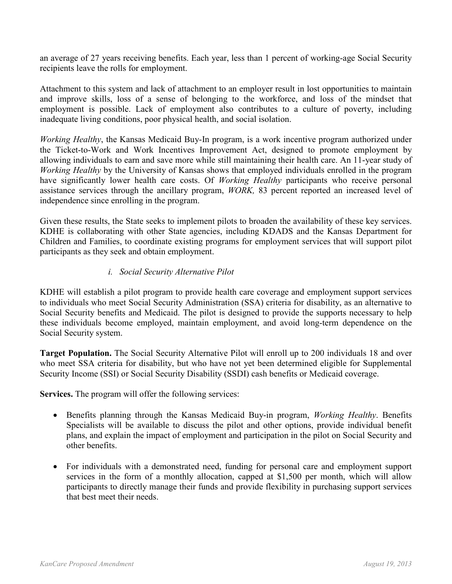an average of 27 years receiving benefits. Each year, less than 1 percent of working-age Social Security recipients leave the rolls for employment.

Attachment to this system and lack of attachment to an employer result in lost opportunities to maintain and improve skills, loss of a sense of belonging to the workforce, and loss of the mindset that employment is possible. Lack of employment also contributes to a culture of poverty, including inadequate living conditions, poor physical health, and social isolation.

*Working Healthy*, the Kansas Medicaid Buy-In program, is a work incentive program authorized under the Ticket-to-Work and Work Incentives Improvement Act, designed to promote employment by allowing individuals to earn and save more while still maintaining their health care. An 11-year study of *Working Healthy* by the University of Kansas shows that employed individuals enrolled in the program have significantly lower health care costs. Of *Working Healthy* participants who receive personal assistance services through the ancillary program, *WORK,* 83 percent reported an increased level of independence since enrolling in the program.

Given these results, the State seeks to implement pilots to broaden the availability of these key services. KDHE is collaborating with other State agencies, including KDADS and the Kansas Department for Children and Families, to coordinate existing programs for employment services that will support pilot participants as they seek and obtain employment.

### *i. Social Security Alternative Pilot*

KDHE will establish a pilot program to provide health care coverage and employment support services to individuals who meet Social Security Administration (SSA) criteria for disability, as an alternative to Social Security benefits and Medicaid. The pilot is designed to provide the supports necessary to help these individuals become employed, maintain employment, and avoid long-term dependence on the Social Security system.

**Target Population.** The Social Security Alternative Pilot will enroll up to 200 individuals 18 and over who meet SSA criteria for disability, but who have not yet been determined eligible for Supplemental Security Income (SSI) or Social Security Disability (SSDI) cash benefits or Medicaid coverage.

**Services.** The program will offer the following services:

- Benefits planning through the Kansas Medicaid Buy-in program, *Working Healthy*. Benefits Specialists will be available to discuss the pilot and other options, provide individual benefit plans, and explain the impact of employment and participation in the pilot on Social Security and other benefits.
- For individuals with a demonstrated need, funding for personal care and employment support services in the form of a monthly allocation, capped at \$1,500 per month, which will allow participants to directly manage their funds and provide flexibility in purchasing support services that best meet their needs.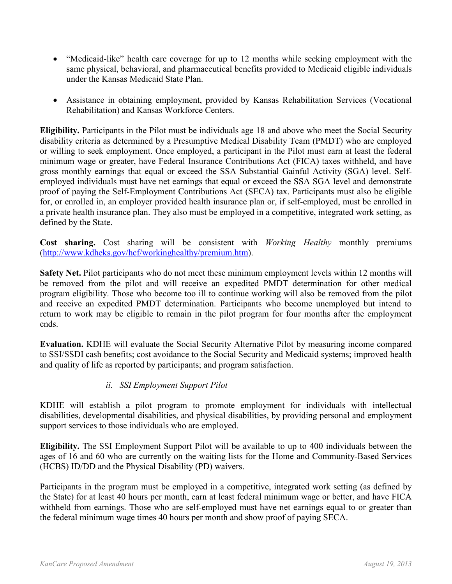- "Medicaid-like" health care coverage for up to 12 months while seeking employment with the same physical, behavioral, and pharmaceutical benefits provided to Medicaid eligible individuals under the Kansas Medicaid State Plan.
- Assistance in obtaining employment, provided by Kansas Rehabilitation Services (Vocational Rehabilitation) and Kansas Workforce Centers.

**Eligibility.** Participants in the Pilot must be individuals age 18 and above who meet the Social Security disability criteria as determined by a Presumptive Medical Disability Team (PMDT) who are employed or willing to seek employment. Once employed, a participant in the Pilot must earn at least the federal minimum wage or greater, have Federal Insurance Contributions Act (FICA) taxes withheld, and have gross monthly earnings that equal or exceed the SSA Substantial Gainful Activity (SGA) level. Selfemployed individuals must have net earnings that equal or exceed the SSA SGA level and demonstrate proof of paying the Self-Employment Contributions Act (SECA) tax. Participants must also be eligible for, or enrolled in, an employer provided health insurance plan or, if self-employed, must be enrolled in a private health insurance plan. They also must be employed in a competitive, integrated work setting, as defined by the State.

**Cost sharing.** Cost sharing will be consistent with *Working Healthy* monthly premiums [\(http://www.kdheks.gov/hcf/workinghealthy/premium.htm\)](http://www.kdheks.gov/hcf/workinghealthy/premium.htm).

**Safety Net.** Pilot participants who do not meet these minimum employment levels within 12 months will be removed from the pilot and will receive an expedited PMDT determination for other medical program eligibility. Those who become too ill to continue working will also be removed from the pilot and receive an expedited PMDT determination. Participants who become unemployed but intend to return to work may be eligible to remain in the pilot program for four months after the employment ends.

**Evaluation.** KDHE will evaluate the Social Security Alternative Pilot by measuring income compared to SSI/SSDI cash benefits; cost avoidance to the Social Security and Medicaid systems; improved health and quality of life as reported by participants; and program satisfaction.

### *ii. SSI Employment Support Pilot*

KDHE will establish a pilot program to promote employment for individuals with intellectual disabilities, developmental disabilities, and physical disabilities, by providing personal and employment support services to those individuals who are employed.

**Eligibility.** The SSI Employment Support Pilot will be available to up to 400 individuals between the ages of 16 and 60 who are currently on the waiting lists for the Home and Community-Based Services (HCBS) ID/DD and the Physical Disability (PD) waivers.

Participants in the program must be employed in a competitive, integrated work setting (as defined by the State) for at least 40 hours per month, earn at least federal minimum wage or better, and have FICA withheld from earnings. Those who are self-employed must have net earnings equal to or greater than the federal minimum wage times 40 hours per month and show proof of paying SECA.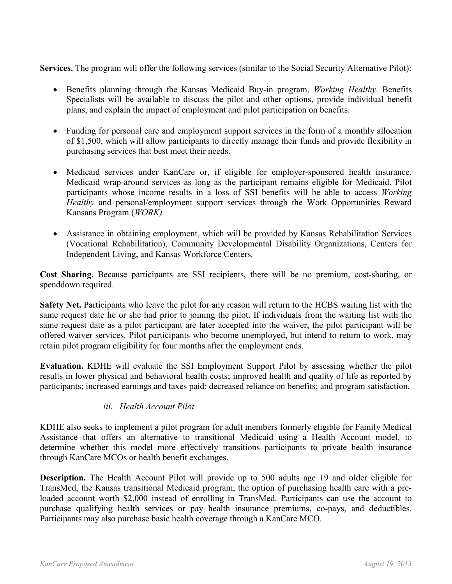**Services.** The program will offer the following services (similar to the Social Security Alternative Pilot):

- Benefits planning through the Kansas Medicaid Buy-in program, *Working Healthy*. Benefits Specialists will be available to discuss the pilot and other options, provide individual benefit plans, and explain the impact of employment and pilot participation on benefits.
- Funding for personal care and employment support services in the form of a monthly allocation of \$1,500, which will allow participants to directly manage their funds and provide flexibility in purchasing services that best meet their needs.
- Medicaid services under KanCare or, if eligible for employer-sponsored health insurance, Medicaid wrap-around services as long as the participant remains eligible for Medicaid. Pilot participants whose income results in a loss of SSI benefits will be able to access *Working Healthy* and personal/employment support services through the Work Opportunities Reward Kansans Program (*WORK).*
- Assistance in obtaining employment, which will be provided by Kansas Rehabilitation Services (Vocational Rehabilitation), Community Developmental Disability Organizations, Centers for Independent Living, and Kansas Workforce Centers.

**Cost Sharing.** Because participants are SSI recipients, there will be no premium, cost-sharing, or spenddown required.

**Safety Net.** Participants who leave the pilot for any reason will return to the HCBS waiting list with the same request date he or she had prior to joining the pilot. If individuals from the waiting list with the same request date as a pilot participant are later accepted into the waiver, the pilot participant will be offered waiver services. Pilot participants who become unemployed, but intend to return to work, may retain pilot program eligibility for four months after the employment ends.

**Evaluation.** KDHE will evaluate the SSI Employment Support Pilot by assessing whether the pilot results in lower physical and behavioral health costs; improved health and quality of life as reported by participants; increased earnings and taxes paid; decreased reliance on benefits; and program satisfaction.

#### *iii. Health Account Pilot*

KDHE also seeks to implement a pilot program for adult members formerly eligible for Family Medical Assistance that offers an alternative to transitional Medicaid using a Health Account model, to determine whether this model more effectively transitions participants to private health insurance through KanCare MCOs or health benefit exchanges.

**Description.** The Health Account Pilot will provide up to 500 adults age 19 and older eligible for TransMed, the Kansas transitional Medicaid program, the option of purchasing health care with a preloaded account worth \$2,000 instead of enrolling in TransMed. Participants can use the account to purchase qualifying health services or pay health insurance premiums, co-pays, and deductibles. Participants may also purchase basic health coverage through a KanCare MCO.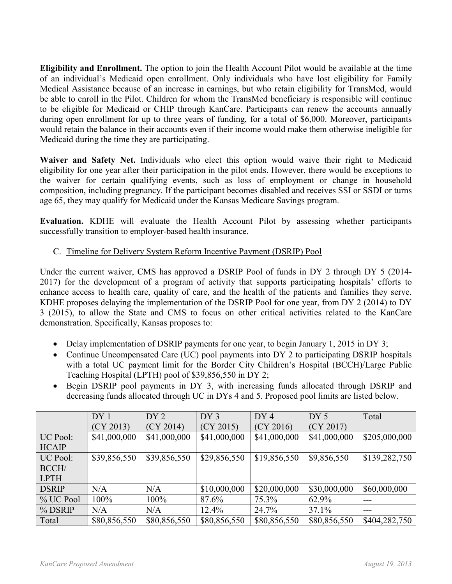**Eligibility and Enrollment.** The option to join the Health Account Pilot would be available at the time of an individual's Medicaid open enrollment. Only individuals who have lost eligibility for Family Medical Assistance because of an increase in earnings, but who retain eligibility for TransMed, would be able to enroll in the Pilot. Children for whom the TransMed beneficiary is responsible will continue to be eligible for Medicaid or CHIP through KanCare. Participants can renew the accounts annually during open enrollment for up to three years of funding, for a total of \$6,000. Moreover, participants would retain the balance in their accounts even if their income would make them otherwise ineligible for Medicaid during the time they are participating.

**Waiver and Safety Net.** Individuals who elect this option would waive their right to Medicaid eligibility for one year after their participation in the pilot ends. However, there would be exceptions to the waiver for certain qualifying events, such as loss of employment or change in household composition, including pregnancy. If the participant becomes disabled and receives SSI or SSDI or turns age 65, they may qualify for Medicaid under the Kansas Medicare Savings program.

**Evaluation.** KDHE will evaluate the Health Account Pilot by assessing whether participants successfully transition to employer-based health insurance.

## C. Timeline for Delivery System Reform Incentive Payment (DSRIP) Pool

Under the current waiver, CMS has approved a DSRIP Pool of funds in DY 2 through DY 5 (2014- 2017) for the development of a program of activity that supports participating hospitals' efforts to enhance access to health care, quality of care, and the health of the patients and families they serve. KDHE proposes delaying the implementation of the DSRIP Pool for one year, from DY 2 (2014) to DY 3 (2015), to allow the State and CMS to focus on other critical activities related to the KanCare demonstration. Specifically, Kansas proposes to:

- Delay implementation of DSRIP payments for one year, to begin January 1, 2015 in DY 3;
- Continue Uncompensated Care (UC) pool payments into DY 2 to participating DSRIP hospitals with a total UC payment limit for the Border City Children's Hospital (BCCH)/Large Public Teaching Hospital (LPTH) pool of \$39,856,550 in DY 2;
- Begin DSRIP pool payments in DY 3, with increasing funds allocated through DSRIP and decreasing funds allocated through UC in DYs 4 and 5. Proposed pool limits are listed below.

|              | DY <sub>1</sub> | DY <sub>2</sub> | DY3          | DY4          | DY <sub>5</sub> | Total         |
|--------------|-----------------|-----------------|--------------|--------------|-----------------|---------------|
|              | (CY 2013)       | (CY 2014)       | (CY 2015)    | (CY 2016)    | (CY 2017)       |               |
| UC Pool:     | \$41,000,000    | \$41,000,000    | \$41,000,000 | \$41,000,000 | \$41,000,000    | \$205,000,000 |
| <b>HCAIP</b> |                 |                 |              |              |                 |               |
| UC Pool:     | \$39,856,550    | \$39,856,550    | \$29,856,550 | \$19,856,550 | \$9,856,550     | \$139,282,750 |
| BCCH/        |                 |                 |              |              |                 |               |
| <b>LPTH</b>  |                 |                 |              |              |                 |               |
| <b>DSRIP</b> | N/A             | N/A             | \$10,000,000 | \$20,000,000 | \$30,000,000    | \$60,000,000  |
| % UC Pool    | 100%            | 100%            | 87.6%        | 75.3%        | 62.9%           |               |
| % DSRIP      | N/A             | N/A             | 12.4%        | 24.7%        | 37.1%           |               |
| Total        | \$80,856,550    | \$80,856,550    | \$80,856,550 | \$80,856,550 | \$80,856,550    | \$404,282,750 |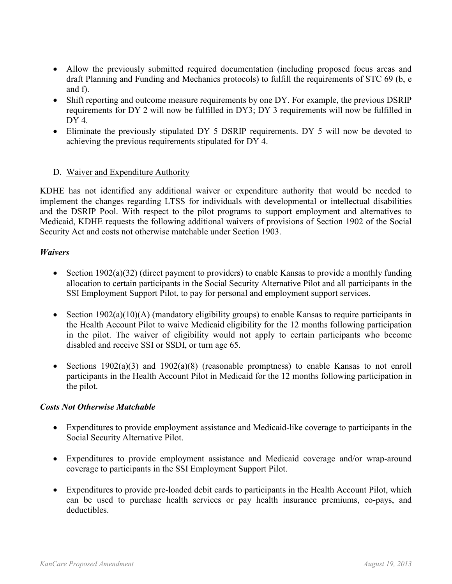- Allow the previously submitted required documentation (including proposed focus areas and draft Planning and Funding and Mechanics protocols) to fulfill the requirements of STC 69 (b, e and f).
- Shift reporting and outcome measure requirements by one DY. For example, the previous DSRIP requirements for DY 2 will now be fulfilled in DY3; DY 3 requirements will now be fulfilled in  $DY4$
- Eliminate the previously stipulated DY 5 DSRIP requirements. DY 5 will now be devoted to achieving the previous requirements stipulated for DY 4.

#### D. Waiver and Expenditure Authority

KDHE has not identified any additional waiver or expenditure authority that would be needed to implement the changes regarding LTSS for individuals with developmental or intellectual disabilities and the DSRIP Pool. With respect to the pilot programs to support employment and alternatives to Medicaid, KDHE requests the following additional waivers of provisions of Section 1902 of the Social Security Act and costs not otherwise matchable under Section 1903.

#### *Waivers*

- Section 1902(a)(32) (direct payment to providers) to enable Kansas to provide a monthly funding allocation to certain participants in the Social Security Alternative Pilot and all participants in the SSI Employment Support Pilot, to pay for personal and employment support services.
- Section 1902(a)(10)(A) (mandatory eligibility groups) to enable Kansas to require participants in the Health Account Pilot to waive Medicaid eligibility for the 12 months following participation in the pilot. The waiver of eligibility would not apply to certain participants who become disabled and receive SSI or SSDI, or turn age 65.
- Sections 1902(a)(3) and 1902(a)(8) (reasonable promptness) to enable Kansas to not enroll participants in the Health Account Pilot in Medicaid for the 12 months following participation in the pilot.

#### *Costs Not Otherwise Matchable*

- Expenditures to provide employment assistance and Medicaid-like coverage to participants in the Social Security Alternative Pilot.
- Expenditures to provide employment assistance and Medicaid coverage and/or wrap-around coverage to participants in the SSI Employment Support Pilot.
- Expenditures to provide pre-loaded debit cards to participants in the Health Account Pilot, which can be used to purchase health services or pay health insurance premiums, co-pays, and deductibles.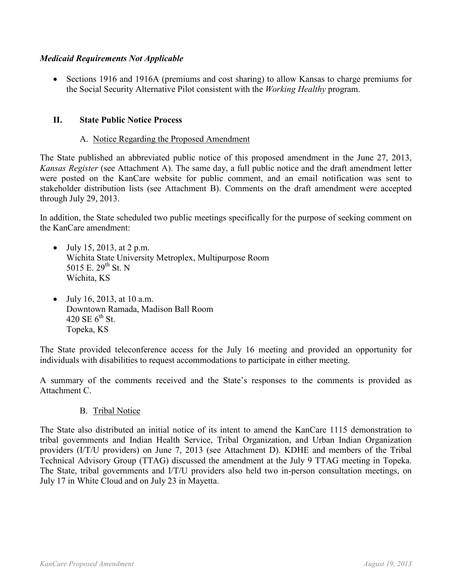#### *Medicaid Requirements Not Applicable*

• Sections 1916 and 1916A (premiums and cost sharing) to allow Kansas to charge premiums for the Social Security Alternative Pilot consistent with the *Working Healthy* program.

#### **II. State Public Notice Process**

### A. Notice Regarding the Proposed Amendment

The State published an abbreviated public notice of this proposed amendment in the June 27, 2013, *Kansas Register* (see Attachment A). The same day, a full public notice and the draft amendment letter were posted on the KanCare website for public comment, and an email notification was sent to stakeholder distribution lists (see Attachment B). Comments on the draft amendment were accepted through July 29, 2013.

In addition, the State scheduled two public meetings specifically for the purpose of seeking comment on the KanCare amendment:

- July 15, 2013, at 2 p.m. Wichita State University Metroplex, Multipurpose Room 5015 E.  $29^{th}$  St. N Wichita, KS
- July 16, 2013, at 10 a.m. Downtown Ramada, Madison Ball Room 420 SE  $6^{th}$  St. Topeka, KS

The State provided teleconference access for the July 16 meeting and provided an opportunity for individuals with disabilities to request accommodations to participate in either meeting.

A summary of the comments received and the State's responses to the comments is provided as Attachment C.

#### B. Tribal Notice

The State also distributed an initial notice of its intent to amend the KanCare 1115 demonstration to tribal governments and Indian Health Service, Tribal Organization, and Urban Indian Organization providers (I/T/U providers) on June 7, 2013 (see Attachment D). KDHE and members of the Tribal Technical Advisory Group (TTAG) discussed the amendment at the July 9 TTAG meeting in Topeka. The State, tribal governments and I/T/U providers also held two in-person consultation meetings, on July 17 in White Cloud and on July 23 in Mayetta.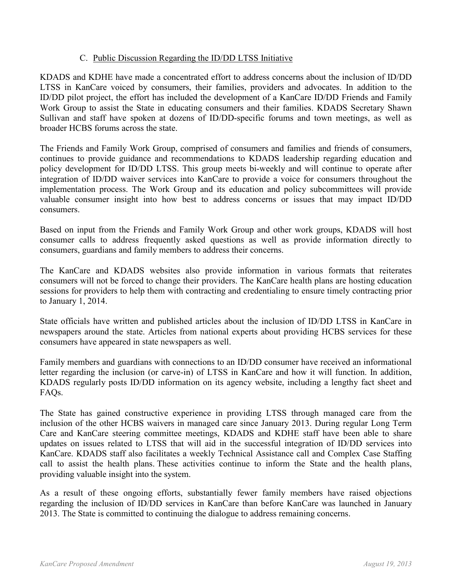#### C. Public Discussion Regarding the ID/DD LTSS Initiative

KDADS and KDHE have made a concentrated effort to address concerns about the inclusion of ID/DD LTSS in KanCare voiced by consumers, their families, providers and advocates. In addition to the ID/DD pilot project, the effort has included the development of a KanCare ID/DD Friends and Family Work Group to assist the State in educating consumers and their families. KDADS Secretary Shawn Sullivan and staff have spoken at dozens of ID/DD-specific forums and town meetings, as well as broader HCBS forums across the state.

The Friends and Family Work Group, comprised of consumers and families and friends of consumers, continues to provide guidance and recommendations to KDADS leadership regarding education and policy development for ID/DD LTSS. This group meets bi-weekly and will continue to operate after integration of ID/DD waiver services into KanCare to provide a voice for consumers throughout the implementation process. The Work Group and its education and policy subcommittees will provide valuable consumer insight into how best to address concerns or issues that may impact ID/DD consumers.

Based on input from the Friends and Family Work Group and other work groups, KDADS will host consumer calls to address frequently asked questions as well as provide information directly to consumers, guardians and family members to address their concerns.

The KanCare and KDADS websites also provide information in various formats that reiterates consumers will not be forced to change their providers. The KanCare health plans are hosting education sessions for providers to help them with contracting and credentialing to ensure timely contracting prior to January 1, 2014.

State officials have written and published articles about the inclusion of ID/DD LTSS in KanCare in newspapers around the state. Articles from national experts about providing HCBS services for these consumers have appeared in state newspapers as well.

Family members and guardians with connections to an ID/DD consumer have received an informational letter regarding the inclusion (or carve-in) of LTSS in KanCare and how it will function. In addition, KDADS regularly posts ID/DD information on its agency website, including a lengthy fact sheet and FAQs.

The State has gained constructive experience in providing LTSS through managed care from the inclusion of the other HCBS waivers in managed care since January 2013. During regular Long Term Care and KanCare steering committee meetings, KDADS and KDHE staff have been able to share updates on issues related to LTSS that will aid in the successful integration of ID/DD services into KanCare. KDADS staff also facilitates a weekly Technical Assistance call and Complex Case Staffing call to assist the health plans. These activities continue to inform the State and the health plans, providing valuable insight into the system.

As a result of these ongoing efforts, substantially fewer family members have raised objections regarding the inclusion of ID/DD services in KanCare than before KanCare was launched in January 2013. The State is committed to continuing the dialogue to address remaining concerns.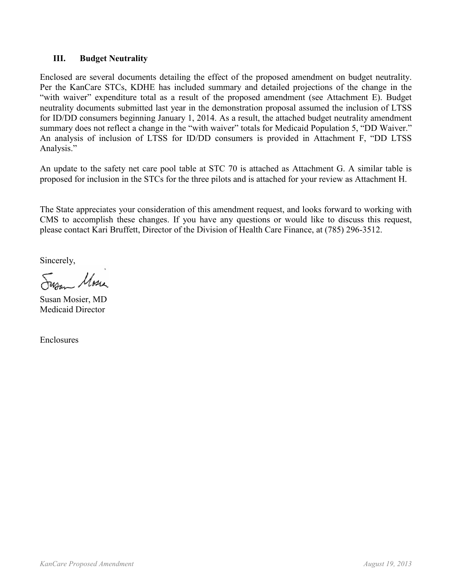#### **III. Budget Neutrality**

Enclosed are several documents detailing the effect of the proposed amendment on budget neutrality. Per the KanCare STCs, KDHE has included summary and detailed projections of the change in the "with waiver" expenditure total as a result of the proposed amendment (see Attachment E). Budget neutrality documents submitted last year in the demonstration proposal assumed the inclusion of LTSS for ID/DD consumers beginning January 1, 2014. As a result, the attached budget neutrality amendment summary does not reflect a change in the "with waiver" totals for Medicaid Population 5, "DD Waiver." An analysis of inclusion of LTSS for ID/DD consumers is provided in Attachment F, "DD LTSS Analysis."

An update to the safety net care pool table at STC 70 is attached as Attachment G. A similar table is proposed for inclusion in the STCs for the three pilots and is attached for your review as Attachment H.

The State appreciates your consideration of this amendment request, and looks forward to working with CMS to accomplish these changes. If you have any questions or would like to discuss this request, please contact Kari Bruffett, Director of the Division of Health Care Finance, at (785) 296-3512.

Sincerely,

Sur Mose

Susan Mosier, MD Medicaid Director

Enclosures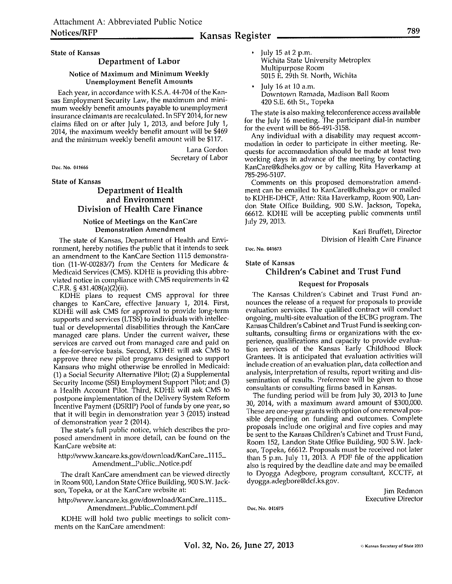#### **Kansas Register -**

**State of Kansas** 

#### Department of Labor

#### Notice of Maximum and Minimum Weekly **Unemployment Benefit Amounts**

Each year, in accordance with K.S.A. 44-704 of the Kansas Employment Security Law, the maximum and minimum weekly benefit amounts payable to unemployment insurance claimants are recalculated. In SFY 2014, for new claims filed on or after July 1, 2013, and before July 1, 2014, the maximum weekly benefit amount will be \$469 and the minimum weekly benefit amount will be \$117.

> Lana Gordon Secretary of Labor

Doc. No. 041666

**State of Kansas** 

#### Department of Health and Environment Division of Health Care Finance

#### Notice of Meetings on the KanCare **Demonstration Amendment**

The state of Kansas, Department of Health and Environment, hereby notifies the public that it intends to seek an amendment to the KanCare Section 1115 demonstration (11-W-00283/7) from the Centers for Medicare  $&$ Medicald Services (CMS). KDHE is providing this abbreviated notice in compliance with CMS requirements in 42 C.F.R. § 431.408(a)(2)(ii).

KDHE plans to request CMS approval for three changes to KanCare, effective January 1, 2014. First, KDHE will ask CMS for approval to provide long-term supports and services (LTSS) to individuals with intellectual or developmental disabilities through the KanCare managed care plans. Under the current waiver, these services are carved out from managed care and paid on a fee-for-service basis. Second, KDHE will ask CMS to approve three new pilot programs designed to support Kansans who might otherwise be enrolled in Medicaid: (1) a Social Security Alternative Pilot; (2) a Supplemental Security Income (SSI) Employment Support Pilot; and (3) a Health Account Pilot. Third, KDHE will ask CMS to postpone implementation of the Delivery System Reform Incentive Payment (DSRIP) Pool of funds by one year, so that it will begin in demonstration year 3 (2015) instead of demonstration year 2 (2014).

The state's full public notice, which describes the proposed amendment in more detail, can be found on the KanCare website at:

#### http://www.kancare.ks.gov/download/KanCare\_1115\_ Amendment\_Public\_Notice.pdf

The draft KanCare amendment can be viewed directly in Room 900, Landon State Office Building, 900 S.W. Jackson, Topeka, or at the KanCare website at:

http://www.kancare.ks.gov/download/KanCare\_1115\_ Amendment\_Public\_Comment.pdf

KDHE will hold two public meetings to solicit comments on the KanCare amendment:

July 15 at 2 p.m. Wichita State University Metroplex Multipurpose Room 5015 E. 29th St. North, Wichita

July 16 at 10 a.m. Downtown Ramada, Madison Ball Room 420 S.E. 6th St., Topeka

The state is also making teleconference access available for the July 16 meeting. The participant dial-in number<br>for the event will be 866-491-3158.

Any individual with a disability may request accommodation in order to participate in either meeting. Requests for accommodation should be made at least two working days in advance of the meeting by contacting KanCare@kdheks.gov or by calling Rita Haverkamp at 785-296-5107.

Comments on this proposed demonstration amendment can be emailed to KanCare@kdheks.gov or mailed to KDHE-DHCF, Attn: Rita Haverkamp, Room 900, Landon State Office Building, 900 S.W. Jackson, Topeka, 66612. KDHE will be accepting public comments until July 29, 2013.

> Kari Bruffett, Director Division of Health Care Finance

Doc. No. 041673

#### **State of Kansas**

#### **Children's Cabinet and Trust Fund**

#### **Request for Proposals**

The Kansas Children's Cabinet and Trust Fund announces the release of a request for proposals to provide evaluation services. The qualified contract will conduct ongoing, multi-site evaluation of the ECBG program. The Kansas Children's Cabinet and Trust Fund is seeking consultants, consulting firms or organizations with the experience, qualifications and capacity to provide evaluation services of the Kansas Early Childhood Block Grantees. It is anticipated that evaluation activities will include creation of an evaluation plan, data collection and analysis, interpretation of results, report writing and dissemination of results. Preference will be given to those consultants or consulting firms based in Kansas.

The funding period will be from July 30, 2013 to June 30, 2014, with a maximum award amount of \$300,000. These are one-year grants with option of one renewal possible depending on funding and outcomes. Complete proposals include one original and five copies and may be sent to the Kansas Children's Cabinet and Trust Fund, Room 152, Landon State Office Building, 900 S.W. Jackson, Topeka, 66612. Proposals must be received not later than 5 p.m. July 11, 2013. A PDF file of the application also is required by the deadline date and may be emailed to Dyogga Adegbore, program consultant, KCCTF, at dyogga.adegbore@dcf.ks.gov.

> Jim Redmon **Executive Director**

Doc. No. 041675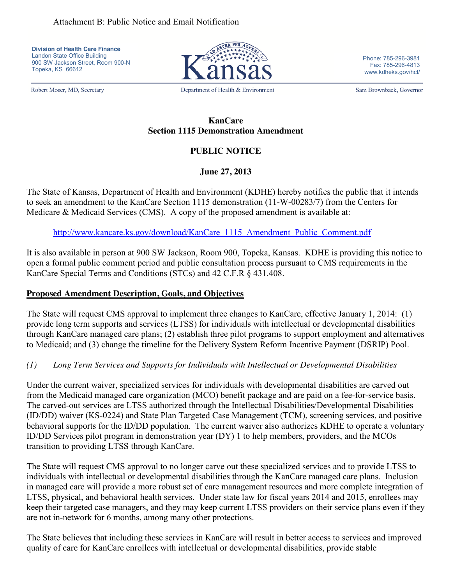**Division of Health Care Finance** Landon State Office Building 900 SW Jackson Street, Room 900-N Topeka, KS 66612

Robert Moser, MD, Secretary

Department of Health & Environment

Phone: 785-296-3981 Fax: 785-296-4813 www.kdheks.gov/hcf/

Sam Brownback, Governor

#### **KanCare Section 1115 Demonstration Amendment**

# **PUBLIC NOTICE**

# **June 27, 2013**

The State of Kansas, Department of Health and Environment (KDHE) hereby notifies the public that it intends to seek an amendment to the KanCare Section 1115 demonstration (11-W-00283/7) from the Centers for Medicare & Medicaid Services (CMS). A copy of the proposed amendment is available at:

## [http://www.kancare.ks.gov/download/KanCare\\_1115\\_Amendment\\_Public\\_Comment.pdf](http://www.kancare.ks.gov/download/KanCare_1115_Amendment_Public_Comment.pdf)

It is also available in person at 900 SW Jackson, Room 900, Topeka, Kansas. KDHE is providing this notice to open a formal public comment period and public consultation process pursuant to CMS requirements in the KanCare Special Terms and Conditions (STCs) and 42 C.F.R § 431.408.

## **Proposed Amendment Description, Goals, and Objectives**

The State will request CMS approval to implement three changes to KanCare, effective January 1, 2014: (1) provide long term supports and services (LTSS) for individuals with intellectual or developmental disabilities through KanCare managed care plans; (2) establish three pilot programs to support employment and alternatives to Medicaid; and (3) change the timeline for the Delivery System Reform Incentive Payment (DSRIP) Pool.

# *(1) Long Term Services and Supports for Individuals with Intellectual or Developmental Disabilities*

Under the current waiver, specialized services for individuals with developmental disabilities are carved out from the Medicaid managed care organization (MCO) benefit package and are paid on a fee-for-service basis. The carved-out services are LTSS authorized through the Intellectual Disabilities/Developmental Disabilities (ID/DD) waiver (KS-0224) and State Plan Targeted Case Management (TCM), screening services, and positive behavioral supports for the ID/DD population. The current waiver also authorizes KDHE to operate a voluntary ID/DD Services pilot program in demonstration year (DY) 1 to help members, providers, and the MCOs transition to providing LTSS through KanCare.

The State will request CMS approval to no longer carve out these specialized services and to provide LTSS to individuals with intellectual or developmental disabilities through the KanCare managed care plans. Inclusion in managed care will provide a more robust set of care management resources and more complete integration of LTSS, physical, and behavioral health services. Under state law for fiscal years 2014 and 2015, enrollees may keep their targeted case managers, and they may keep current LTSS providers on their service plans even if they are not in-network for 6 months, among many other protections.

The State believes that including these services in KanCare will result in better access to services and improved quality of care for KanCare enrollees with intellectual or developmental disabilities, provide stable

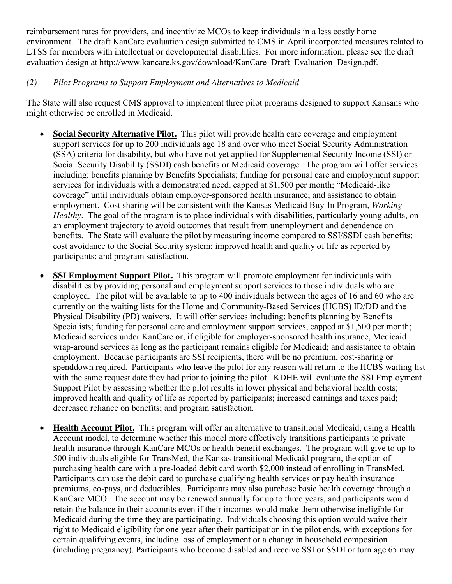reimbursement rates for providers, and incentivize MCOs to keep individuals in a less costly home environment. The draft KanCare evaluation design submitted to CMS in April incorporated measures related to LTSS for members with intellectual or developmental disabilities. For more information, please see the draft evaluation design at http://www.kancare.ks.gov/download/KanCare\_Draft\_Evaluation\_Design.pdf.

# *(2) Pilot Programs to Support Employment and Alternatives to Medicaid*

The State will also request CMS approval to implement three pilot programs designed to support Kansans who might otherwise be enrolled in Medicaid.

- **Social Security Alternative Pilot.** This pilot will provide health care coverage and employment support services for up to 200 individuals age 18 and over who meet Social Security Administration (SSA) criteria for disability, but who have not yet applied for Supplemental Security Income (SSI) or Social Security Disability (SSDI) cash benefits or Medicaid coverage. The program will offer services including: benefits planning by Benefits Specialists; funding for personal care and employment support services for individuals with a demonstrated need, capped at \$1,500 per month; "Medicaid-like coverage" until individuals obtain employer-sponsored health insurance; and assistance to obtain employment. Cost sharing will be consistent with the Kansas Medicaid Buy-In Program, *Working Healthy*. The goal of the program is to place individuals with disabilities, particularly young adults, on an employment trajectory to avoid outcomes that result from unemployment and dependence on benefits. The State will evaluate the pilot by measuring income compared to SSI/SSDI cash benefits; cost avoidance to the Social Security system; improved health and quality of life as reported by participants; and program satisfaction.
- **SSI Employment Support Pilot.** This program will promote employment for individuals with disabilities by providing personal and employment support services to those individuals who are employed. The pilot will be available to up to 400 individuals between the ages of 16 and 60 who are currently on the waiting lists for the Home and Community-Based Services (HCBS) ID/DD and the Physical Disability (PD) waivers. It will offer services including: benefits planning by Benefits Specialists; funding for personal care and employment support services, capped at \$1,500 per month; Medicaid services under KanCare or, if eligible for employer-sponsored health insurance, Medicaid wrap-around services as long as the participant remains eligible for Medicaid; and assistance to obtain employment. Because participants are SSI recipients, there will be no premium, cost-sharing or spenddown required. Participants who leave the pilot for any reason will return to the HCBS waiting list with the same request date they had prior to joining the pilot. KDHE will evaluate the SSI Employment Support Pilot by assessing whether the pilot results in lower physical and behavioral health costs; improved health and quality of life as reported by participants; increased earnings and taxes paid; decreased reliance on benefits; and program satisfaction.
- **Health Account Pilot.** This program will offer an alternative to transitional Medicaid, using a Health Account model, to determine whether this model more effectively transitions participants to private health insurance through KanCare MCOs or health benefit exchanges. The program will give to up to 500 individuals eligible for TransMed, the Kansas transitional Medicaid program, the option of purchasing health care with a pre-loaded debit card worth \$2,000 instead of enrolling in TransMed. Participants can use the debit card to purchase qualifying health services or pay health insurance premiums, co-pays, and deductibles. Participants may also purchase basic health coverage through a KanCare MCO. The account may be renewed annually for up to three years, and participants would retain the balance in their accounts even if their incomes would make them otherwise ineligible for Medicaid during the time they are participating. Individuals choosing this option would waive their right to Medicaid eligibility for one year after their participation in the pilot ends, with exceptions for certain qualifying events, including loss of employment or a change in household composition (including pregnancy). Participants who become disabled and receive SSI or SSDI or turn age 65 may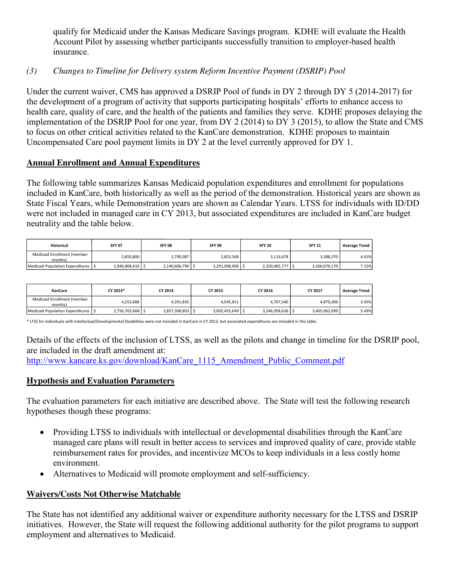qualify for Medicaid under the Kansas Medicare Savings program. KDHE will evaluate the Health Account Pilot by assessing whether participants successfully transition to employer-based health insurance.

# *(3) Changes to Timeline for Delivery system Reform Incentive Payment (DSRIP) Pool*

Under the current waiver, CMS has approved a DSRIP Pool of funds in DY 2 through DY 5 (2014-2017) for the development of a program of activity that supports participating hospitals' efforts to enhance access to health care, quality of care, and the health of the patients and families they serve. KDHE proposes delaying the implementation of the DSRIP Pool for one year, from DY 2 (2014) to DY 3 (2015), to allow the State and CMS to focus on other critical activities related to the KanCare demonstration. KDHE proposes to maintain Uncompensated Care pool payment limits in DY 2 at the level currently approved for DY 1.

### **Annual Enrollment and Annual Expenditures**

The following table summarizes Kansas Medicaid population expenditures and enrollment for populations included in KanCare, both historically as well as the period of the demonstration. Historical years are shown as State Fiscal Years, while Demonstration years are shown as Calendar Years. LTSS for individuals with ID/DD were not included in managed care in CY 2013, but associated expenditures are included in KanCare budget neutrality and the table below.

| <b>Historical</b>                      | <b>SFY 07</b>      | <b>SFY 08</b>    | <b>SFY 09</b>    | <b>SFY 10</b>      | <b>SFY 11</b> | <b>Average Trend</b> |
|----------------------------------------|--------------------|------------------|------------------|--------------------|---------------|----------------------|
| Medicaid Enrollment (member<br>months) | 2,850,800          | 2,790,087        | 2,853,568        | 3,114,678          | 3,388,370     | 4.41%                |
| Medicaid Population Expenditures   S   | $1,946,968,416$ \$ | 2,140,606,790 \$ | 2,291,098,906 \$ | $2,320,065,777$ \$ | 2,566,076,170 | 7.15%                |

| <b>KanCare</b>                         | CY 2013*         | CY 2014          | CY 2015         | CY 2016          | CY 2017       | <b>Average Trend</b> |
|----------------------------------------|------------------|------------------|-----------------|------------------|---------------|----------------------|
| Medicaid Enrollment (member<br>months) | 4,252,688        | 4,391,835        | 4,545,651       | 4.707.540        | 4,870,306     | 3.45%                |
| Medicaid Population Expenditures 5     | 2,756,702,668 \$ | 2.857.398.803 \$ | 3.002.455.649 S | 3,246,958,636 \$ | 3.405.962.099 | 5.43%                |

\* LTSS for individuals with Intellectual/Developmental Disabilities were not included in KanCare in CY 2013, but associated expenditures are included in this table.

Details of the effects of the inclusion of LTSS, as well as the pilots and change in timeline for the DSRIP pool, are included in the draft amendment at:

[http://www.kancare.ks.gov/download/KanCare\\_1115\\_Amendment\\_Public\\_Comment.pdf](http://www.kancare.ks.gov/download/KanCare_1115_Amendment_Public_Comment.pdf)

# **Hypothesis and Evaluation Parameters**

The evaluation parameters for each initiative are described above. The State will test the following research hypotheses though these programs:

- Providing LTSS to individuals with intellectual or developmental disabilities through the KanCare managed care plans will result in better access to services and improved quality of care, provide stable reimbursement rates for provides, and incentivize MCOs to keep individuals in a less costly home environment.
- Alternatives to Medicaid will promote employment and self-sufficiency.

### **Waivers/Costs Not Otherwise Matchable**

The State has not identified any additional waiver or expenditure authority necessary for the LTSS and DSRIP initiatives. However, the State will request the following additional authority for the pilot programs to support employment and alternatives to Medicaid.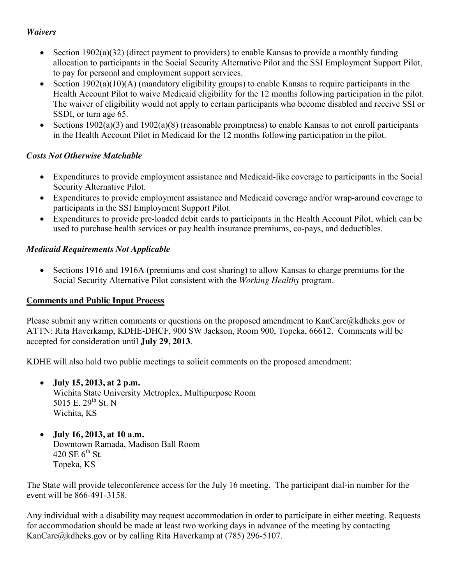### *Waivers*

- Section 1902(a)(32) (direct payment to providers) to enable Kansas to provide a monthly funding allocation to participants in the Social Security Alternative Pilot and the SSI Employment Support Pilot, to pay for personal and employment support services.
- Section 1902(a)(10)(A) (mandatory eligibility groups) to enable Kansas to require participants in the Health Account Pilot to waive Medicaid eligibility for the 12 months following participation in the pilot. The waiver of eligibility would not apply to certain participants who become disabled and receive SSI or SSDI, or turn age 65.
- Sections  $1902(a)(3)$  and  $1902(a)(8)$  (reasonable promptness) to enable Kansas to not enroll participants in the Health Account Pilot in Medicaid for the 12 months following participation in the pilot.

# *Costs Not Otherwise Matchable*

- Expenditures to provide employment assistance and Medicaid-like coverage to participants in the Social Security Alternative Pilot.
- Expenditures to provide employment assistance and Medicaid coverage and/or wrap-around coverage to participants in the SSI Employment Support Pilot.
- Expenditures to provide pre-loaded debit cards to participants in the Health Account Pilot, which can be used to purchase health services or pay health insurance premiums, co-pays, and deductibles.

# *Medicaid Requirements Not Applicable*

• Sections 1916 and 1916A (premiums and cost sharing) to allow Kansas to charge premiums for the Social Security Alternative Pilot consistent with the *Working Healthy* program.

# **Comments and Public Input Process**

Please submit any written comments or questions on the proposed amendment to KanCare@kdheks.gov or ATTN: Rita Haverkamp, KDHE-DHCF, 900 SW Jackson, Room 900, Topeka, 66612. Comments will be accepted for consideration until **July 29, 2013**.

KDHE will also hold two public meetings to solicit comments on the proposed amendment:

- **July 15, 2013, at 2 p.m.** Wichita State University Metroplex, Multipurpose Room 5015 E.  $29^{th}$  St. N Wichita, KS
- **July 16, 2013, at 10 a.m.** Downtown Ramada, Madison Ball Room 420 SE  $6^{th}$  St. Topeka, KS

The State will provide teleconference access for the July 16 meeting. The participant dial-in number for the event will be 866-491-3158.

Any individual with a disability may request accommodation in order to participate in either meeting. Requests for accommodation should be made at least two working days in advance of the meeting by contacting KanCare@kdheks.gov or by calling Rita Haverkamp at (785) 296-5107.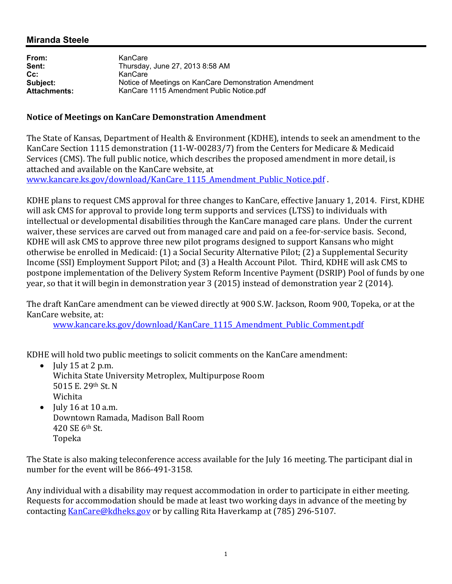# **Miranda Steele**

| From:               | KanCare                                               |
|---------------------|-------------------------------------------------------|
| Sent:               | Thursday, June 27, 2013 8:58 AM                       |
| $Cc$ :              | KanCare                                               |
| Subject:            | Notice of Meetings on KanCare Demonstration Amendment |
| <b>Attachments:</b> | KanCare 1115 Amendment Public Notice.pdf              |

#### **Notice of Meetings on KanCare Demonstration Amendment**

The State of Kansas, Department of Health & Environment (KDHE), intends to seek an amendment to the KanCare Section 1115 demonstration (11-W-00283/7) from the Centers for Medicare & Medicaid Services (CMS). The full public notice, which describes the proposed amendment in more detail, is attached and available on the KanCare website, at www.kancare.ks.gov/download/KanCare 1115 Amendment Public Notice.pdf.

KDHE plans to request CMS approval for three changes to KanCare, effective January 1, 2014. First, KDHE will ask CMS for approval to provide long term supports and services (LTSS) to individuals with intellectual or developmental disabilities through the KanCare managed care plans. Under the current waiver, these services are carved out from managed care and paid on a fee-for-service basis. Second, KDHE will ask CMS to approve three new pilot programs designed to support Kansans who might otherwise be enrolled in Medicaid: (1) a Social Security Alternative Pilot; (2) a Supplemental Security Income (SSI) Employment Support Pilot; and (3) a Health Account Pilot. Third, KDHE will ask CMS to postpone implementation of the Delivery System Reform Incentive Payment (DSRIP) Pool of funds by one year, so that it will begin in demonstration year 3 (2015) instead of demonstration year 2 (2014).

The draft KanCare amendment can be viewed directly at 900 S.W. Jackson, Room 900, Topeka, or at the KanCare website, at:

www.kancare.ks.gov/download/KanCare 1115 Amendment Public Comment.pdf

KDHE will hold two public meetings to solicit comments on the KanCare amendment:

- July  $15$  at  $2$  p.m. Wichita State University Metroplex, Multipurpose Room 5015 E. 29th St. N Wichita
- July 16 at 10 a.m. Downtown Ramada, Madison Ball Room 420 SE 6th St. Topeka

The State is also making teleconference access available for the July 16 meeting. The participant dial in number for the event will be 866-491-3158.

Any individual with a disability may request accommodation in order to participate in either meeting. Requests for accommodation should be made at least two working days in advance of the meeting by contacting KanCare@kdheks.gov or by calling Rita Haverkamp at (785) 296-5107.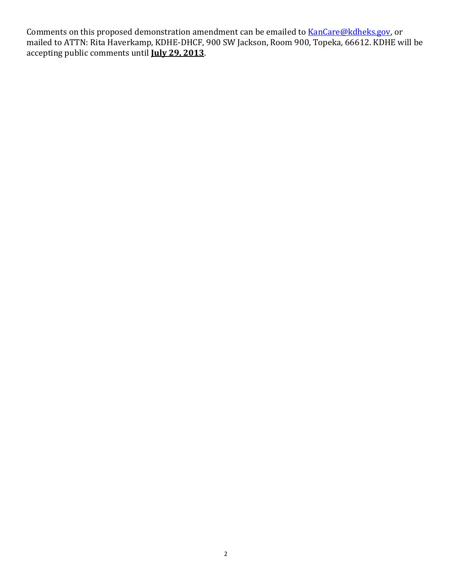Comments on this proposed demonstration amendment can be emailed to **KanCare@kdheks.gov**, or mailed to ATTN: Rita Haverkamp, KDHE-DHCF, 900 SW Jackson, Room 900, Topeka, 66612. KDHE will be accepting public comments until **July 29, 2013**.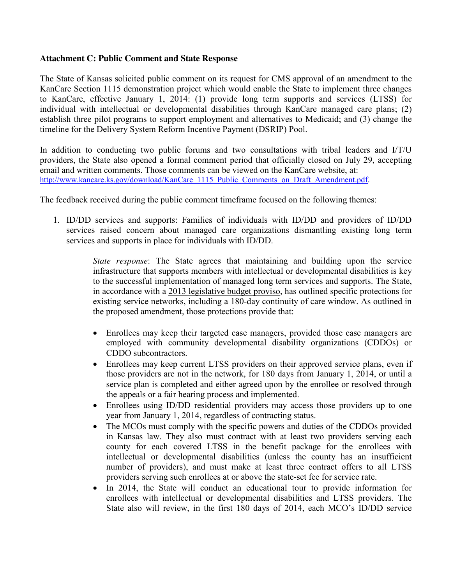#### **Attachment C: Public Comment and State Response**

The State of Kansas solicited public comment on its request for CMS approval of an amendment to the KanCare Section 1115 demonstration project which would enable the State to implement three changes to KanCare, effective January 1, 2014: (1) provide long term supports and services (LTSS) for individual with intellectual or developmental disabilities through KanCare managed care plans; (2) establish three pilot programs to support employment and alternatives to Medicaid; and (3) change the timeline for the Delivery System Reform Incentive Payment (DSRIP) Pool.

In addition to conducting two public forums and two consultations with tribal leaders and I/T/U providers, the State also opened a formal comment period that officially closed on July 29, accepting email and written comments. Those comments can be viewed on the KanCare website, at: [http://www.kancare.ks.gov/download/KanCare\\_1115\\_Public\\_Comments\\_on\\_Draft\\_Amendment.pdf.](http://www.kancare.ks.gov/download/KanCare_1115_Public_Comments_on_Draft_Amendment.pdf)

The feedback received during the public comment timeframe focused on the following themes:

1. ID/DD services and supports: Families of individuals with ID/DD and providers of ID/DD services raised concern about managed care organizations dismantling existing long term services and supports in place for individuals with ID/DD.

> *State response*: The State agrees that maintaining and building upon the service infrastructure that supports members with intellectual or developmental disabilities is key to the successful implementation of managed long term services and supports. The State, in accordance with a 2013 legislative budget proviso, has outlined specific protections for existing service networks, including a 180-day continuity of care window. As outlined in the proposed amendment, those protections provide that:

- Enrollees may keep their targeted case managers, provided those case managers are employed with community developmental disability organizations (CDDOs) or CDDO subcontractors.
- Enrollees may keep current LTSS providers on their approved service plans, even if those providers are not in the network, for 180 days from January 1, 2014, or until a service plan is completed and either agreed upon by the enrollee or resolved through the appeals or a fair hearing process and implemented.
- Enrollees using ID/DD residential providers may access those providers up to one year from January 1, 2014, regardless of contracting status.
- The MCOs must comply with the specific powers and duties of the CDDOs provided in Kansas law. They also must contract with at least two providers serving each county for each covered LTSS in the benefit package for the enrollees with intellectual or developmental disabilities (unless the county has an insufficient number of providers), and must make at least three contract offers to all LTSS providers serving such enrollees at or above the state-set fee for service rate.
- In 2014, the State will conduct an educational tour to provide information for enrollees with intellectual or developmental disabilities and LTSS providers. The State also will review, in the first 180 days of 2014, each MCO's ID/DD service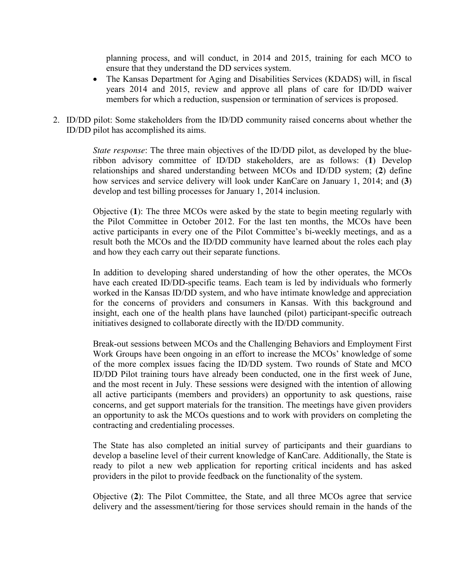planning process, and will conduct, in 2014 and 2015, training for each MCO to ensure that they understand the DD services system.

- The Kansas Department for Aging and Disabilities Services (KDADS) will, in fiscal years 2014 and 2015, review and approve all plans of care for ID/DD waiver members for which a reduction, suspension or termination of services is proposed.
- 2. ID/DD pilot: Some stakeholders from the ID/DD community raised concerns about whether the ID/DD pilot has accomplished its aims.

*State response*: The three main objectives of the ID/DD pilot, as developed by the blueribbon advisory committee of ID/DD stakeholders, are as follows: (**1**) Develop relationships and shared understanding between MCOs and ID/DD system; (**2**) define how services and service delivery will look under KanCare on January 1, 2014; and (**3**) develop and test billing processes for January 1, 2014 inclusion.

Objective (**1**): The three MCOs were asked by the state to begin meeting regularly with the Pilot Committee in October 2012. For the last ten months, the MCOs have been active participants in every one of the Pilot Committee's bi-weekly meetings, and as a result both the MCOs and the ID/DD community have learned about the roles each play and how they each carry out their separate functions.

In addition to developing shared understanding of how the other operates, the MCOs have each created ID/DD-specific teams. Each team is led by individuals who formerly worked in the Kansas ID/DD system, and who have intimate knowledge and appreciation for the concerns of providers and consumers in Kansas. With this background and insight, each one of the health plans have launched (pilot) participant-specific outreach initiatives designed to collaborate directly with the ID/DD community.

Break-out sessions between MCOs and the Challenging Behaviors and Employment First Work Groups have been ongoing in an effort to increase the MCOs' knowledge of some of the more complex issues facing the ID/DD system. Two rounds of State and MCO ID/DD Pilot training tours have already been conducted, one in the first week of June, and the most recent in July. These sessions were designed with the intention of allowing all active participants (members and providers) an opportunity to ask questions, raise concerns, and get support materials for the transition. The meetings have given providers an opportunity to ask the MCOs questions and to work with providers on completing the contracting and credentialing processes.

The State has also completed an initial survey of participants and their guardians to develop a baseline level of their current knowledge of KanCare. Additionally, the State is ready to pilot a new web application for reporting critical incidents and has asked providers in the pilot to provide feedback on the functionality of the system.

Objective (**2**): The Pilot Committee, the State, and all three MCOs agree that service delivery and the assessment/tiering for those services should remain in the hands of the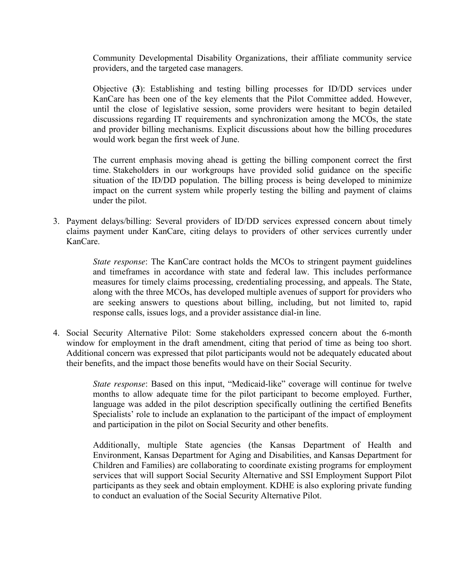Community Developmental Disability Organizations, their affiliate community service providers, and the targeted case managers.

Objective (**3**): Establishing and testing billing processes for ID/DD services under KanCare has been one of the key elements that the Pilot Committee added. However, until the close of legislative session, some providers were hesitant to begin detailed discussions regarding IT requirements and synchronization among the MCOs, the state and provider billing mechanisms. Explicit discussions about how the billing procedures would work began the first week of June.

The current emphasis moving ahead is getting the billing component correct the first time. Stakeholders in our workgroups have provided solid guidance on the specific situation of the ID/DD population. The billing process is being developed to minimize impact on the current system while properly testing the billing and payment of claims under the pilot.

3. Payment delays/billing: Several providers of ID/DD services expressed concern about timely claims payment under KanCare, citing delays to providers of other services currently under KanCare.

> *State response*: The KanCare contract holds the MCOs to stringent payment guidelines and timeframes in accordance with state and federal law. This includes performance measures for timely claims processing, credentialing processing, and appeals. The State, along with the three MCOs, has developed multiple avenues of support for providers who are seeking answers to questions about billing, including, but not limited to, rapid response calls, issues logs, and a provider assistance dial-in line.

4. Social Security Alternative Pilot: Some stakeholders expressed concern about the 6-month window for employment in the draft amendment, citing that period of time as being too short. Additional concern was expressed that pilot participants would not be adequately educated about their benefits, and the impact those benefits would have on their Social Security.

> *State response*: Based on this input, "Medicaid-like" coverage will continue for twelve months to allow adequate time for the pilot participant to become employed. Further, language was added in the pilot description specifically outlining the certified Benefits Specialists' role to include an explanation to the participant of the impact of employment and participation in the pilot on Social Security and other benefits.

> Additionally, multiple State agencies (the Kansas Department of Health and Environment, Kansas Department for Aging and Disabilities, and Kansas Department for Children and Families) are collaborating to coordinate existing programs for employment services that will support Social Security Alternative and SSI Employment Support Pilot participants as they seek and obtain employment. KDHE is also exploring private funding to conduct an evaluation of the Social Security Alternative Pilot.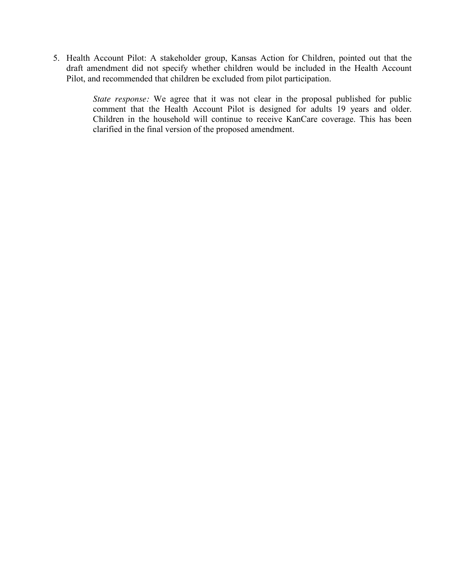5. Health Account Pilot: A stakeholder group, Kansas Action for Children, pointed out that the draft amendment did not specify whether children would be included in the Health Account Pilot, and recommended that children be excluded from pilot participation.

> *State response:* We agree that it was not clear in the proposal published for public comment that the Health Account Pilot is designed for adults 19 years and older. Children in the household will continue to receive KanCare coverage. This has been clarified in the final version of the proposed amendment.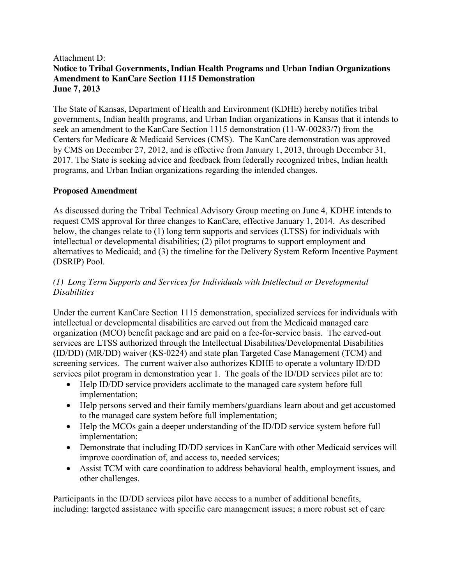# Attachment D: **Notice to Tribal Governments, Indian Health Programs and Urban Indian Organizations Amendment to KanCare Section 1115 Demonstration June 7, 2013**

The State of Kansas, Department of Health and Environment (KDHE) hereby notifies tribal governments, Indian health programs, and Urban Indian organizations in Kansas that it intends to seek an amendment to the KanCare Section 1115 demonstration (11-W-00283/7) from the Centers for Medicare & Medicaid Services (CMS). The KanCare demonstration was approved by CMS on December 27, 2012, and is effective from January 1, 2013, through December 31, 2017. The State is seeking advice and feedback from federally recognized tribes, Indian health programs, and Urban Indian organizations regarding the intended changes.

## **Proposed Amendment**

As discussed during the Tribal Technical Advisory Group meeting on June 4, KDHE intends to request CMS approval for three changes to KanCare, effective January 1, 2014. As described below, the changes relate to (1) long term supports and services (LTSS) for individuals with intellectual or developmental disabilities; (2) pilot programs to support employment and alternatives to Medicaid; and (3) the timeline for the Delivery System Reform Incentive Payment (DSRIP) Pool.

# *(1) Long Term Supports and Services for Individuals with Intellectual or Developmental Disabilities*

Under the current KanCare Section 1115 demonstration, specialized services for individuals with intellectual or developmental disabilities are carved out from the Medicaid managed care organization (MCO) benefit package and are paid on a fee-for-service basis. The carved-out services are LTSS authorized through the Intellectual Disabilities/Developmental Disabilities (ID/DD) (MR/DD) waiver (KS-0224) and state plan Targeted Case Management (TCM) and screening services. The current waiver also authorizes KDHE to operate a voluntary ID/DD services pilot program in demonstration year 1. The goals of the ID/DD services pilot are to:

- Help ID/DD service providers acclimate to the managed care system before full implementation;
- Help persons served and their family members/guardians learn about and get accustomed to the managed care system before full implementation;
- Help the MCOs gain a deeper understanding of the ID/DD service system before full implementation;
- Demonstrate that including ID/DD services in KanCare with other Medicaid services will improve coordination of, and access to, needed services;
- Assist TCM with care coordination to address behavioral health, employment issues, and other challenges.

Participants in the ID/DD services pilot have access to a number of additional benefits, including: targeted assistance with specific care management issues; a more robust set of care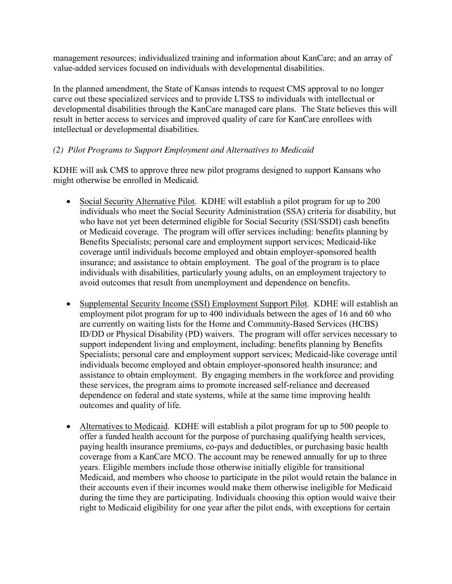management resources; individualized training and information about KanCare; and an array of value-added services focused on individuals with developmental disabilities.

In the planned amendment, the State of Kansas intends to request CMS approval to no longer carve out these specialized services and to provide LTSS to individuals with intellectual or developmental disabilities through the KanCare managed care plans. The State believes this will result in better access to services and improved quality of care for KanCare enrollees with intellectual or developmental disabilities.

# *(2) Pilot Programs to Support Employment and Alternatives to Medicaid*

KDHE will ask CMS to approve three new pilot programs designed to support Kansans who might otherwise be enrolled in Medicaid.

- Social Security Alternative Pilot. KDHE will establish a pilot program for up to 200 individuals who meet the Social Security Administration (SSA) criteria for disability, but who have not yet been determined eligible for Social Security (SSI/SSDI) cash benefits or Medicaid coverage. The program will offer services including: benefits planning by Benefits Specialists; personal care and employment support services; Medicaid-like coverage until individuals become employed and obtain employer-sponsored health insurance; and assistance to obtain employment. The goal of the program is to place individuals with disabilities, particularly young adults, on an employment trajectory to avoid outcomes that result from unemployment and dependence on benefits.
- Supplemental Security Income (SSI) Employment Support Pilot. KDHE will establish an employment pilot program for up to 400 individuals between the ages of 16 and 60 who are currently on waiting lists for the Home and Community-Based Services (HCBS) ID/DD or Physical Disability (PD) waivers. The program will offer services necessary to support independent living and employment, including: benefits planning by Benefits Specialists; personal care and employment support services; Medicaid-like coverage until individuals become employed and obtain employer-sponsored health insurance; and assistance to obtain employment. By engaging members in the workforce and providing these services, the program aims to promote increased self-reliance and decreased dependence on federal and state systems, while at the same time improving health outcomes and quality of life.
- Alternatives to Medicaid. KDHE will establish a pilot program for up to 500 people to offer a funded health account for the purpose of purchasing qualifying health services, paying health insurance premiums, co-pays and deductibles, or purchasing basic health coverage from a KanCare MCO. The account may be renewed annually for up to three years. Eligible members include those otherwise initially eligible for transitional Medicaid, and members who choose to participate in the pilot would retain the balance in their accounts even if their incomes would make them otherwise ineligible for Medicaid during the time they are participating. Individuals choosing this option would waive their right to Medicaid eligibility for one year after the pilot ends, with exceptions for certain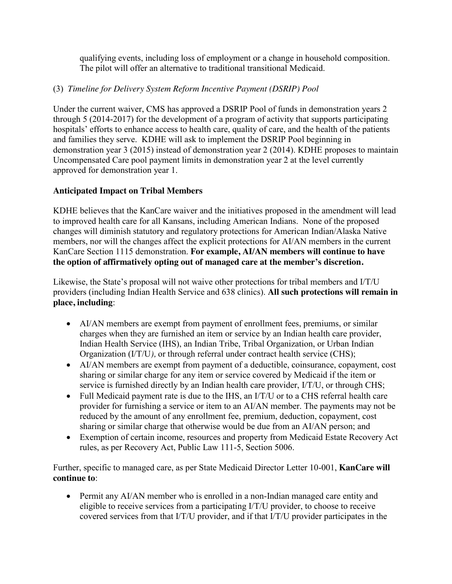qualifying events, including loss of employment or a change in household composition. The pilot will offer an alternative to traditional transitional Medicaid.

# (3) *Timeline for Delivery System Reform Incentive Payment (DSRIP) Pool*

Under the current waiver, CMS has approved a DSRIP Pool of funds in demonstration years 2 through 5 (2014-2017) for the development of a program of activity that supports participating hospitals' efforts to enhance access to health care, quality of care, and the health of the patients and families they serve. KDHE will ask to implement the DSRIP Pool beginning in demonstration year 3 (2015) instead of demonstration year 2 (2014). KDHE proposes to maintain Uncompensated Care pool payment limits in demonstration year 2 at the level currently approved for demonstration year 1.

# **Anticipated Impact on Tribal Members**

KDHE believes that the KanCare waiver and the initiatives proposed in the amendment will lead to improved health care for all Kansans, including American Indians. None of the proposed changes will diminish statutory and regulatory protections for American Indian/Alaska Native members, nor will the changes affect the explicit protections for AI/AN members in the current KanCare Section 1115 demonstration. **For example, AI/AN members will continue to have the option of affirmatively opting out of managed care at the member's discretion.**

Likewise, the State's proposal will not waive other protections for tribal members and I/T/U providers (including Indian Health Service and 638 clinics). **All such protections will remain in place, including**:

- AI/AN members are exempt from payment of enrollment fees, premiums, or similar charges when they are furnished an item or service by an Indian health care provider, Indian Health Service (IHS), an Indian Tribe, Tribal Organization, or Urban Indian Organization (I/T/U*),* or through referral under contract health service (CHS);
- AI/AN members are exempt from payment of a deductible, coinsurance, copayment, cost sharing or similar charge for any item or service covered by Medicaid if the item or service is furnished directly by an Indian health care provider, I/T/U, or through CHS;
- Full Medicaid payment rate is due to the IHS, an I/T/U or to a CHS referral health care provider for furnishing a service or item to an AI/AN member. The payments may not be reduced by the amount of any enrollment fee, premium, deduction, copayment, cost sharing or similar charge that otherwise would be due from an AI/AN person; and
- Exemption of certain income, resources and property from Medicaid Estate Recovery Act rules, as per Recovery Act, Public Law 111-5, Section 5006.

Further, specific to managed care, as per State Medicaid Director Letter 10-001, **KanCare will continue to**:

• Permit any AI/AN member who is enrolled in a non-Indian managed care entity and eligible to receive services from a participating I/T/U provider, to choose to receive covered services from that I/T/U provider, and if that I/T/U provider participates in the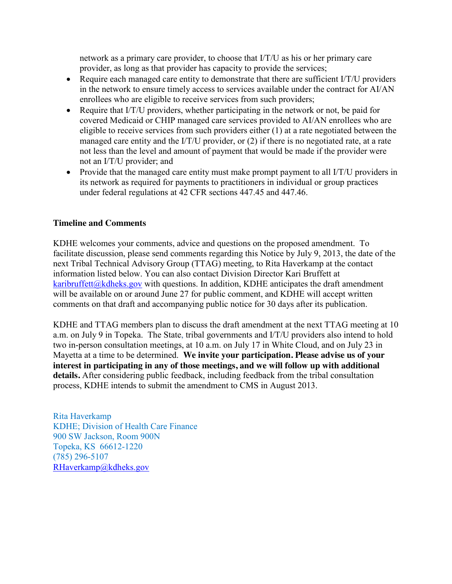network as a primary care provider, to choose that I/T/U as his or her primary care provider, as long as that provider has capacity to provide the services;

- Require each managed care entity to demonstrate that there are sufficient I/T/U providers in the network to ensure timely access to services available under the contract for AI/AN enrollees who are eligible to receive services from such providers;
- Require that I/T/U providers, whether participating in the network or not, be paid for covered Medicaid or CHIP managed care services provided to AI/AN enrollees who are eligible to receive services from such providers either (1) at a rate negotiated between the managed care entity and the I/T/U provider, or (2) if there is no negotiated rate, at a rate not less than the level and amount of payment that would be made if the provider were not an I/T/U provider; and
- Provide that the managed care entity must make prompt payment to all I/T/U providers in its network as required for payments to practitioners in individual or group practices under federal regulations at 42 CFR sections 447.45 and 447.46.

## **Timeline and Comments**

KDHE welcomes your comments, advice and questions on the proposed amendment. To facilitate discussion, please send comments regarding this Notice by July 9, 2013, the date of the next Tribal Technical Advisory Group (TTAG) meeting, to Rita Haverkamp at the contact information listed below. You can also contact Division Director Kari Bruffett at karibruffett $@k$ dheks.gov with questions. In addition, KDHE anticipates the draft amendment will be available on or around June 27 for public comment, and KDHE will accept written comments on that draft and accompanying public notice for 30 days after its publication.

KDHE and TTAG members plan to discuss the draft amendment at the next TTAG meeting at 10 a.m. on July 9 in Topeka. The State, tribal governments and I/T/U providers also intend to hold two in-person consultation meetings, at 10 a.m. on July 17 in White Cloud, and on July 23 in Mayetta at a time to be determined. **We invite your participation. Please advise us of your interest in participating in any of those meetings, and we will follow up with additional details.** After considering public feedback, including feedback from the tribal consultation process, KDHE intends to submit the amendment to CMS in August 2013.

Rita Haverkamp KDHE; Division of Health Care Finance 900 SW Jackson, Room 900N Topeka, KS 66612-1220 (785) 296-5107 [RHaverkamp@kdheks.gov](mailto:RHaverkamp@kdheks.gov)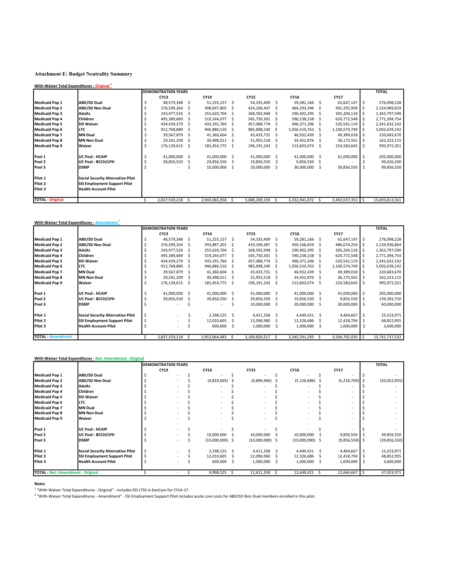#### **Attachment E: Budget Neutrality Summary**

| With-Waiver Total Expenditures - Original 1 |                                          |    |                            |    |               |    |               |   |               |          |                  |              |                |
|---------------------------------------------|------------------------------------------|----|----------------------------|----|---------------|----|---------------|---|---------------|----------|------------------|--------------|----------------|
|                                             |                                          |    | <b>DEMONSTRATION YEARS</b> |    |               |    |               |   |               |          |                  |              | <b>TOTAL</b>   |
|                                             |                                          |    | CY13                       |    | CY14          |    | <b>CY15</b>   |   | CY16          |          | <b>CY17</b>      |              |                |
| <b>Medicaid Pop 1</b>                       | <b>ABD/SD Dual</b>                       | Ś  | 48,579,348                 | .s | 51,255,157    | S  | 54,335,409    | Ŝ | 59,281,166    | <b>S</b> | 62,647,147 \$    |              | 276,098,228    |
| <b>Medicaid Pop 2</b>                       | <b>ABD/SD Non Dual</b>                   | S  | 376,599,264                | S  | 398,697,805   |    | 424,106,447   |   | 464,293,346   |          | 491,292,958 \$   |              | 2,154,989,819  |
| <b>Medicaid Pop 3</b>                       | <b>Adults</b>                            |    | 243,977,526                |    | 255,620,704   |    | 268,592,948   |   | 290,402,295   |          | 305,204,118      |              | 1,363,797,590  |
| <b>Medicaid Pop 4</b>                       | <b>Children</b>                          |    | 495,389,669                | -S | 519,244,077   | S. | 545,750,301   |   | 590,238,158   |          | 620,772,548 \$   |              | 2,771,394,754  |
| <b>Medicaid Pop 5</b>                       | <b>DD Waiver</b>                         |    | 434,439,279                |    | 433,191,764   |    | 457,088,774   |   | 496,371,206   |          | 520,541,119 \$   |              | 2,341,632,142  |
| <b>Medicaid Pop 6</b>                       | <b>LTC</b>                               |    | 912,768,880                | Ŝ  | 946,886,510   | S  | 985,898,240   |   | 1,056,510,763 |          | 1,100,574,749    |              | 5,002,639,142  |
| <b>Medicaid Pop 7</b>                       | <b>MN Dual</b>                           |    | 39,567,879                 | .s | 41,360,604    | S  | 43,433,731    |   | 46,932,439    |          | 49,389,018       | l S          | 220,683,670    |
| <b>Medicaid Pop 8</b>                       | <b>MN Non Dual</b>                       |    | 29,241,209                 | .s | 30,498,011    | S  | 31,955,518    |   | 34,452,876    |          | 36,175,501       | . I s        | 162,323,115    |
| <b>Medicaid Pop 9</b>                       | Waiver                                   | \$ | 176,139,615                | Ŝ  | 185,454,775   | S. | 196,191,243   | S | 213,603,074   | Ŝ.       | 224,583,645      | -S           | 995,972,351    |
| Pool 1                                      | <b>UC Pool: HCAIP</b>                    |    | 41,000,000                 | -S | 41,000,000    | S  | 41,000,000    | S | 41,000,000    | .S       | 41,000,000       | <sub>S</sub> | 205,000,000    |
| Pool 2                                      | UC Pool: BCCH/LPH                        |    | 39,856,550                 |    | 29,856,550    | S  | 19,856,550    |   | 9,856,550     |          |                  |              | 99,426,200     |
| Pool 3                                      | <b>DSRIP</b>                             |    |                            |    | 10,000,000    | S  | 20,000,000    |   | 30,000,000    | S        | 39,856,550       |              | 99,856,550     |
| Pilot 1                                     | <b>Social Security Alternative Pilot</b> |    |                            |    |               |    |               |   |               |          |                  |              |                |
| Pilot 2                                     | <b>SSI Employment Support Pilot</b>      |    |                            |    |               |    |               |   |               |          |                  |              |                |
| Pilot 3                                     | <b>Health Account Pilot</b>              |    |                            |    |               |    |               |   |               |          |                  |              |                |
| <b>TOTAL - Original</b>                     |                                          |    | 2,837,559,218              |    | 2,943,065,958 | S. | 3,088,209,159 |   | 3,332,941,872 |          | 3,492,037,353 \$ |              | 15,693,813,561 |

|                          | With-Waiver Total Expenditures - Amendment <sup>2</sup> |   |                            |     |               |    |               |    |               |    |                    |     |                |
|--------------------------|---------------------------------------------------------|---|----------------------------|-----|---------------|----|---------------|----|---------------|----|--------------------|-----|----------------|
|                          |                                                         |   | <b>DEMONSTRATION YEARS</b> |     |               |    |               |    |               |    |                    |     | <b>TOTAL</b>   |
|                          |                                                         |   | <b>CY13</b>                |     | <b>CY14</b>   |    | <b>CY15</b>   |    | CY16          |    | CY17               |     |                |
| <b>Medicaid Pop 1</b>    | <b>ABD/SD Dual</b>                                      | Ś | 48,579,348                 | S   | 51,255,157    | S  | 54,335,409    | S  | 59,281,166    | S  | 62,647,147         | - S | 276,098,228    |
| <b>Medicaid Pop 2</b>    | <b>ABD/SD Non Dual</b>                                  |   | 376,599,264                | S   | 393,887,201   |    | 419,209,487   |    | 459,166,659   |    | 486,074,254 \$     |     | 2,134,936,864  |
| <b>Medicaid Pop 3</b>    | <b>Adults</b>                                           |   | 243,977,526                | S   | 255,620,704   | .S | 268,592,948   |    | 290,402,295   |    | 305,204,118 \$     |     | 1,363,797,590  |
| <b>Medicaid Pop 4</b>    | <b>Children</b>                                         |   | 495,389,669                |     | 519,244,077   |    | 545,750,301   |    | 590,238,158   |    | 620,772,548 \$     |     | 2,771,394,754  |
| <b>Medicaid Pop 5</b>    | <b>DD Waiver</b>                                        |   | 434,439,279                | Ŝ   | 433,191,764   | -S | 457,088,774   |    | 496,371,206   |    | $520,541,119$ \$   |     | 2,341,632,142  |
| <b>Medicaid Pop 6</b>    | <b>LTC</b>                                              |   | 912,768,880                | S   | 946,886,510   | S. | 985,898,240   |    | 1,056,510,763 |    | $1,100,574,749$ \$ |     | 5,002,639,142  |
| <b>Medicaid Pop 7</b>    | <b>MN Dual</b>                                          |   | 39,567,879                 | .s  | 41,360,604    |    | 43,433,731    |    | 46,932,439    |    | 49,389,018         | l S | 220,683,670    |
| <b>Medicaid Pop 8</b>    | <b>MN Non Dual</b>                                      |   | 29,241,209                 | S.  | 30,498,011    |    | 31,955,518    |    | 34,452,876    |    | 36,175,501 \$      |     | 162,323,115    |
| <b>Medicaid Pop 9</b>    | Waiver                                                  | S | 176,139,615                | Ś.  | 185,454,775   | S  | 196,191,243   | S  | 213,603,074   | .s | 224,583,645        | - S | 995,972,351    |
| Pool 1                   | <b>UC Pool: HCAIP</b>                                   |   | 41,000,000                 | - S | 41,000,000    | -S | 41,000,000    | Ŝ  | 41,000,000    | -S | 41,000,000 \$      |     | 205,000,000    |
| Pool 2                   | UC Pool: BCCH/LPH                                       |   | 39,856,550                 |     | 39,856,550    | S  | 29,856,550    |    | 19,856,550    |    | $9,856,550$ \$     |     | 139,282,750    |
| Pool 3                   | <b>DSRIP</b>                                            |   |                            |     |               |    | 10,000,000    | S  | 20,000,000    |    | 30,000,000         |     | 60,000,000     |
| Pilot 1                  | <b>Social Security Alternative Pilot</b>                | Ś |                            |     | 2,198,525     | -S | 4,411,358     | .S | 4,449,421     | -S | 4,464,667          | - S | 15,523,971     |
| Pilot 2                  | <b>SSI Employment Support Pilot</b>                     |   |                            |     | 12,010,605    |    | 12,096,960    |    | 12,326,686    |    | 12,418,704         |     | 48,852,955     |
| Pilot 3                  | <b>Health Account Pilot</b>                             |   |                            |     | 600,000       | -S | 1,000,000     | S  | 1,000,000     | S  | 1,000,000          | - S | 3,600,000      |
| <b>TOTAL - Amendment</b> |                                                         |   | 2,837,559,218              | S.  | 2,953,064,483 | S. | 3,100,820,517 |    | 3,345,591,293 |    | 3,504,702,020 \$   |     | 15,741,737,532 |

|                                          | With-Waiver Total Expenditures - Net: Amendment - Original |                            |                   |    |                   |                   |                  |                |
|------------------------------------------|------------------------------------------------------------|----------------------------|-------------------|----|-------------------|-------------------|------------------|----------------|
|                                          |                                                            | <b>DEMONSTRATION YEARS</b> |                   |    |                   |                   |                  | <b>TOTAL</b>   |
|                                          |                                                            | CY13                       | CY14              |    | <b>CY15</b>       | CY16              | <b>CY17</b>      |                |
| <b>Medicaid Pop 1</b>                    | <b>ABD/SD Dual</b>                                         |                            |                   |    |                   |                   |                  |                |
| <b>Medicaid Pop 2</b>                    | <b>ABD/SD Non Dual</b>                                     |                            | (4,810,605)       |    | (4,896,960)       | (5, 126, 686)     | (5,218,704)      | (20,052,955)   |
| <b>Medicaid Pop 3</b>                    | <b>Adults</b>                                              |                            |                   |    |                   |                   |                  |                |
| <b>Medicaid Pop 4</b>                    | <b>Children</b>                                            |                            |                   |    |                   |                   |                  |                |
| <b>Medicaid Pop 5</b>                    | <b>DD Waiver</b>                                           |                            |                   |    |                   |                   |                  |                |
| <b>Medicaid Pop 6</b>                    | <b>LTC</b>                                                 |                            |                   |    |                   |                   |                  |                |
| <b>Medicaid Pop 7</b>                    | <b>MN Dual</b>                                             |                            |                   |    |                   |                   |                  |                |
| <b>Medicaid Pop 8</b>                    | <b>MN Non Dual</b>                                         |                            |                   |    |                   |                   |                  |                |
| <b>Medicaid Pop 9</b>                    | Waiver                                                     |                            |                   |    |                   |                   |                  |                |
| Pool 1                                   | <b>UC Pool: HCAIP</b>                                      |                            |                   |    |                   |                   |                  |                |
| Pool 2                                   | UC Pool: BCCH/LPH                                          |                            | 10,000,000        |    | 10,000,000        | 10,000,000        | $9,856,550$ \$   | 39,856,550     |
| Pool 3                                   | <b>DSRIP</b>                                               |                            | $(10,000,000)$ \$ |    | $(10,000,000)$ \$ | $(10,000,000)$ \$ | $(9,856,550)$ \$ | (39, 856, 550) |
| Pilot 1                                  | <b>Social Security Alternative Pilot</b>                   |                            | 2,198,525         | -S | 4,411,358         | 4,449,421 \$      | 4,464,667 \$     | 15,523,971     |
| Pilot 2                                  | <b>SSI Employment Support Pilot</b>                        |                            | 12,010,605        |    | 12,096,960        | 12,326,686        | 12,418,704 \$    | 48,852,955     |
| Pilot 3                                  | <b>Health Account Pilot</b>                                |                            | 600,000           | S  | 1,000,000         | 1,000,000         | $1,000,000$ \$   | 3,600,000      |
| <b>TOTAL - Net: Amendment - Original</b> |                                                            |                            | 9,998,525         |    | 12,611,358        | 12,649,421        | 12,664,667 \$    | 47,923,971     |

**Notes** 1 "With-Waiver Total Expenditures - Original" - includes DD LTSS in KanCare for CY14-17.

<sup>2</sup> "With-Waiver Total Expenditures - Amendment" - SSI Employment Support Pilot includes acute care costs for ABD/SD Non Dual members enrolled in this pilot.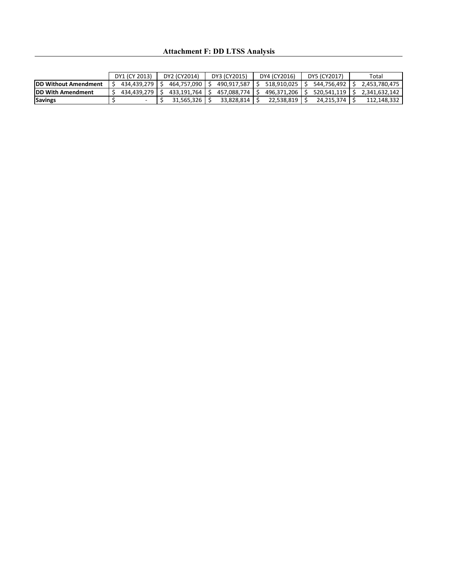## **Attachment F: DD LTSS Analysis**

|                              | DY1 (CY 2013) | DY2 (CY2014) | DY3 (CY2015) | DY4 (CY2016) | DY5 (CY2017) | Total         |
|------------------------------|---------------|--------------|--------------|--------------|--------------|---------------|
| <b>IDD Without Amendment</b> | 434.439.279   | 464.757.090  | 490.917.587  | 518.910.025  | 544.756.492  | 2.453.780.475 |
| <b>IDD With Amendment</b>    | 434.439.279   | 433.191.764  | 457.088.774  | 496.371.206  | 520.541.119  | 2.341.632.142 |
| <b>Savings</b>               |               | 31.565.326   | 33.828.814   | 22.538.819   | 24.215.374   | 112.148.332   |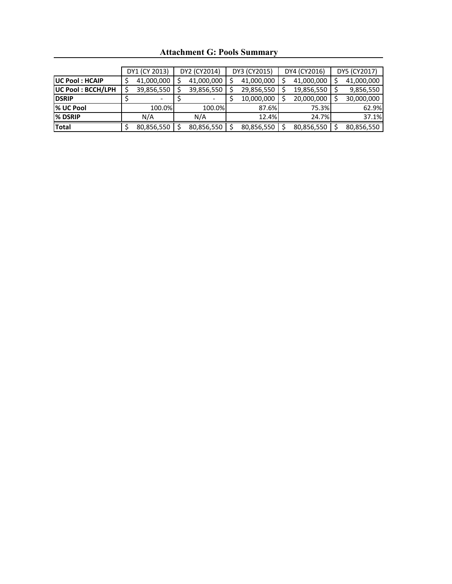|                          | DY1 (CY 2013) |            |  | DY2 (CY2014) | DY3 (CY2015) | DY4 (CY2016) | DY5 (CY2017) |
|--------------------------|---------------|------------|--|--------------|--------------|--------------|--------------|
| <b>UC Pool: HCAIP</b>    |               | 41,000,000 |  | 41,000,000   | 41,000,000   | 41,000,000   | 41,000,000   |
| <b>UC Pool: BCCH/LPH</b> |               | 39,856,550 |  | 39,856,550   | 29,856,550   | 19,856,550   | 9,856,550    |
| <b>DSRIP</b>             |               |            |  |              | 10,000,000   | 20,000,000   | 30,000,000   |
| % UC Pool                |               | 100.0%     |  | 100.0%       | 87.6%        | 75.3%        | 62.9%        |
| % DSRIP                  |               | N/A        |  | N/A          | 12.4%        | 24.7%        | 37.1%        |
| <b>Total</b>             |               | 80,856,550 |  | 80,856,550   | 80,856,550   | 80,856,550   | 80,856,550   |

**Attachment G: Pools Summary**